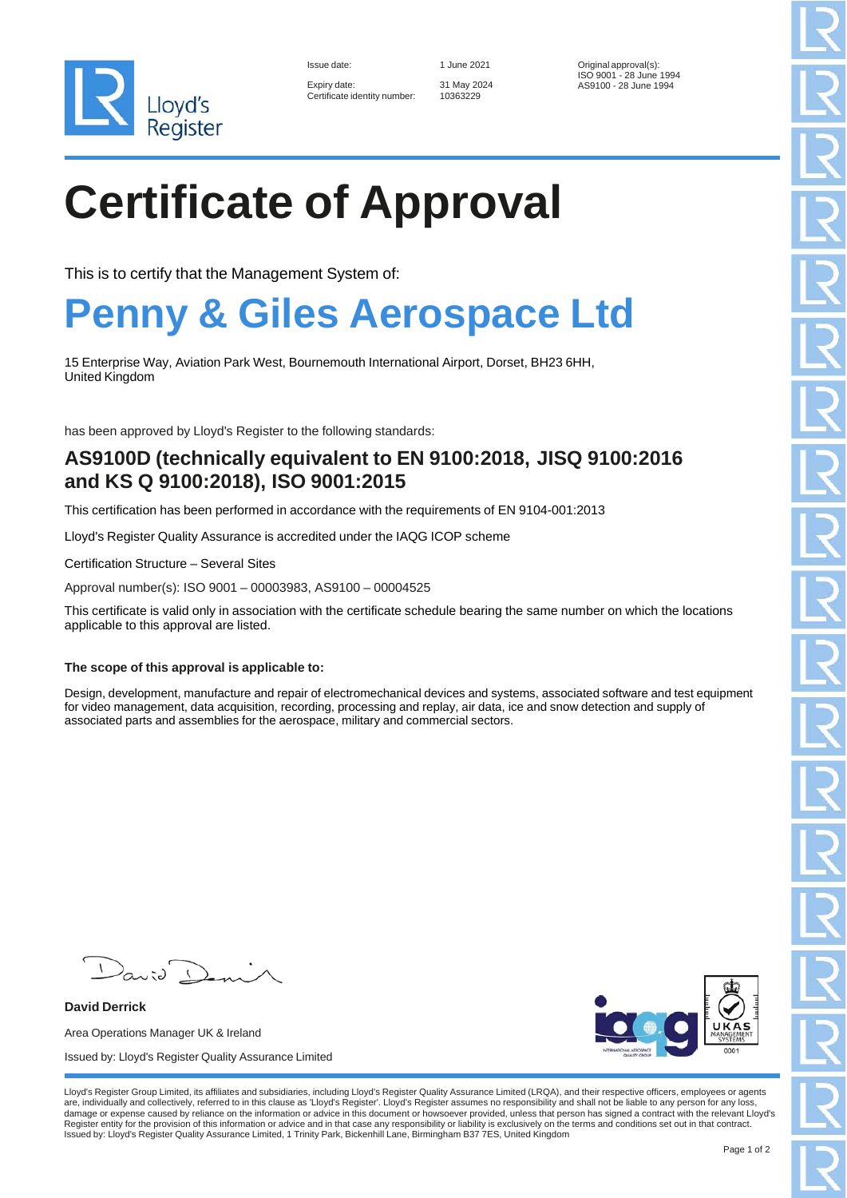

| Issue date:  |                            |
|--------------|----------------------------|
| Expiry date: | Certificate identity numbe |

31 May 2024 10363229

1 June 2021 **Original approval(s):** ISO 9001 - 28 June 1994 AS9100 - 28 June 1994

# **Certificate of Approval**

This is to certify that the Management System of:

### **Penny & Giles Aerospace Ltd**

15 Enterprise Way, Aviation Park West, Bournemouth International Airport, Dorset, BH23 6HH, United Kingdom

has been approved by Lloyd's Register to the following standards:

### **AS9100D (technically equivalent to EN 9100:2018, JISQ 9100:2016 and KS Q 9100:2018), ISO 9001:2015**

This certification has been performed in accordance with the requirements of EN 9104-001:2013

Lloyd's Register Quality Assurance is accredited under the IAQG ICOP scheme

Certification Structure – Several Sites

Approval number(s): ISO 9001 – 00003983, AS9100 – 00004525

This certificate is valid only in association with the certificate schedule bearing the same number on which the locations applicable to this approval are listed.

### **The scope of this approval is applicable to:**

Design, development, manufacture and repair of electromechanical devices and systems, associated software and test equipment for video management, data acquisition, recording, processing and replay, air data, ice and snow detection and supply of associated parts and assemblies for the aerospace, military and commercial sectors.

David

**David Derrick** Area Operations Manager UK & Ireland Issued by: Lloyd's Register Quality Assurance Limited



Lloyd's Register Group Limited, its affiliates and subsidiaries, including Lloyd's Register Quality Assurance Limited (LRQA), and their respective officers, employees or agents<br>are, individually and collectively, referred damage or expense caused by reliance on the information or advice in this document or howsoever provided, unless that person has signed a contract with the relevant Lloyd's Register entity for the provision of this information or advice and in that case any responsibility or liability is exclusively on the terms and conditions set out in that contract.<br>Issued by: Lloyd's Register Quality Assu